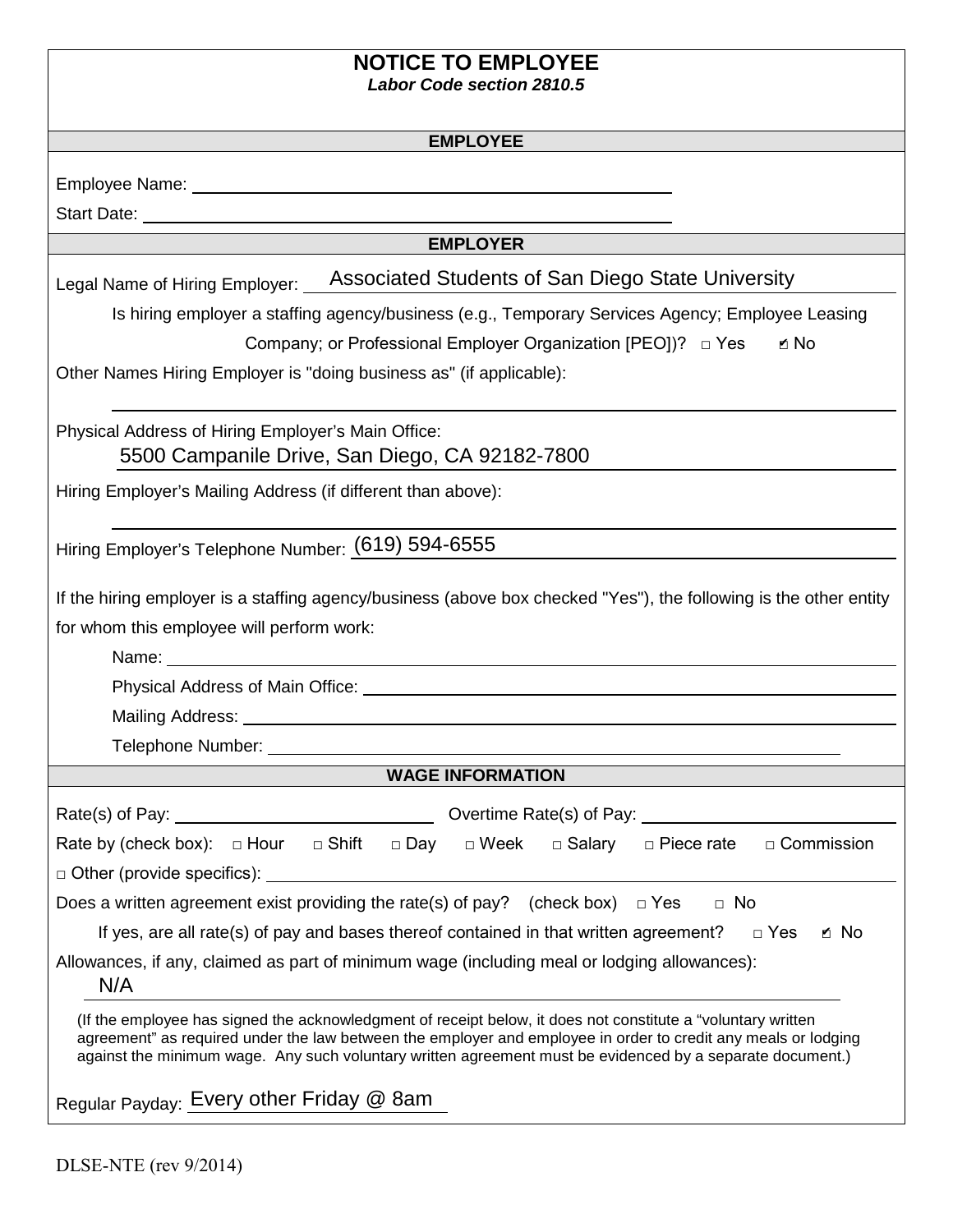| <b>NOTICE TO EMPLOYEE</b> |  |   |  |
|---------------------------|--|---|--|
|                           |  | . |  |

*Labor Code section 2810.5* 

Employee Name:

Start Date:

#### **EMPLOYER**

| Legal Name of Hiring Employer: |
|--------------------------------|
|--------------------------------|

Is hiring employer a staffing agency/business (e.g., Temporary Services Agency; Employee Leasing

Company; or Professional Employer Organization [PEO])? □ Yes ✔

Other Names Hiring Employer is "doing business as" (if applicable):

Physical Address of Hiring Employer's Main Office: 5500 Campanile Drive, San Diego, CA 92182-7800

Hiring Employer's Mailing Address (if different than above):

Hiring Employer's Telephone Number: (619) 594-6555

If the hiring employer is a staffing agency/business (above box checked "Yes"), the following is the other entity for whom this employee will perform work:

Name:

Physical Address of Main Office:

Mailing Address:

Telephone Number:

### **WAGE INFORMATION**

| Rate(s) of Pay: Network and Security and Security and Security and Security and Security and Security and Security and Security and Security and Security and Security and Security and Security and Security and Security and | Overtime Rate(s) of Pay: __________                          |  |  |  |  |  |
|--------------------------------------------------------------------------------------------------------------------------------------------------------------------------------------------------------------------------------|--------------------------------------------------------------|--|--|--|--|--|
| Rate by (check box): $\Box$ Hour<br>□ Shift<br>□ Day                                                                                                                                                                           | □ Salary<br>$\Box$ Week<br>□ Piece rate<br>$\Box$ Commission |  |  |  |  |  |
| $\Box$ Other (provide specifics): $\Box$                                                                                                                                                                                       |                                                              |  |  |  |  |  |
| Does a written agreement exist providing the rate(s) of pay? (check box) $\Box$ Yes<br>$\Box$ No                                                                                                                               |                                                              |  |  |  |  |  |
| If yes, are all rate(s) of pay and bases thereof contained in that written agreement? $\Box$ Yes<br>ิ No                                                                                                                       |                                                              |  |  |  |  |  |
| Allowances, if any, claimed as part of minimum wage (including meal or lodging allowances):<br>N/A                                                                                                                             |                                                              |  |  |  |  |  |
| (If the employee has signed the acknowledgment of receipt below, it does not constitute a "voluntary written")                                                                                                                 |                                                              |  |  |  |  |  |

agreement" as required under the law between the employer and employee in order to credit any meals or lodging against the minimum wage. Any such voluntary written agreement must be evidenced by a separate document.)

Regular Payday: <mark>Every other Friday @ 8am</mark>